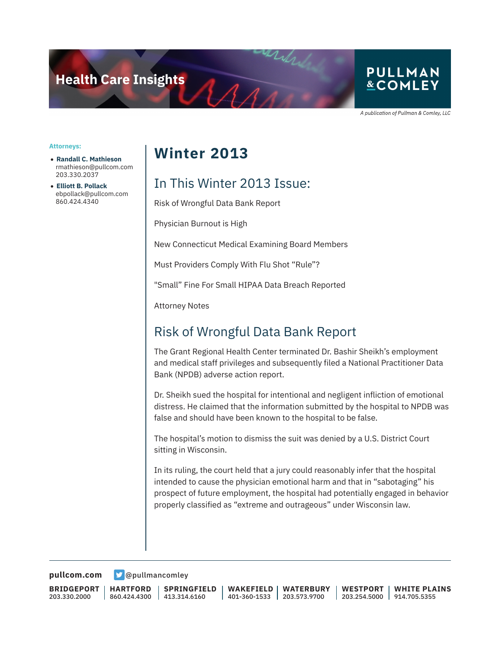# **Health Care Insights**

#### **PULLMAN &COMLEY**

A publication of Pullman & Comley, LLC

#### **Attorneys:**

- **Randall C. Mathieson** rmathieson@pullcom.com 203.330.2037
- **Elliott B. Pollack** ebpollack@pullcom.com 860.424.4340

## **Winter 2013**

#### In This Winter 2013 Issue:

Risk of Wrongful Data Bank Report

Physician Burnout is High

New Connecticut Medical Examining Board Members

Must Providers Comply With Flu Shot "Rule"?

"Small" Fine For Small HIPAA Data Breach Reported

Attorney Notes

## Risk of Wrongful Data Bank Report

The Grant Regional Health Center terminated Dr. Bashir Sheikh's employment and medical staff privileges and subsequently filed a National Practitioner Data Bank (NPDB) adverse action report.

Dr. Sheikh sued the hospital for intentional and negligent infliction of emotional distress. He claimed that the information submitted by the hospital to NPDB was false and should have been known to the hospital to be false.

The hospital's motion to dismiss the suit was denied by a U.S. District Court sitting in Wisconsin.

In its ruling, the court held that a jury could reasonably infer that the hospital intended to cause the physician emotional harm and that in "sabotaging" his prospect of future employment, the hospital had potentially engaged in behavior properly classified as "extreme and outrageous" under Wisconsin law.

**[pullcom.com](https://www.pullcom.com)** [@pullmancomley](https://twitter.com/PullmanComley)

**BRIDGEPORT** 203.330.2000

**HARTFORD** 860.424.4300

**SPRINGFIELD** 413.314.6160

**WAKEFIELD** 401-360-1533 **WATERBURY** 203.573.9700

**WESTPORT** 203.254.5000 914.705.5355 **WHITE PLAINS**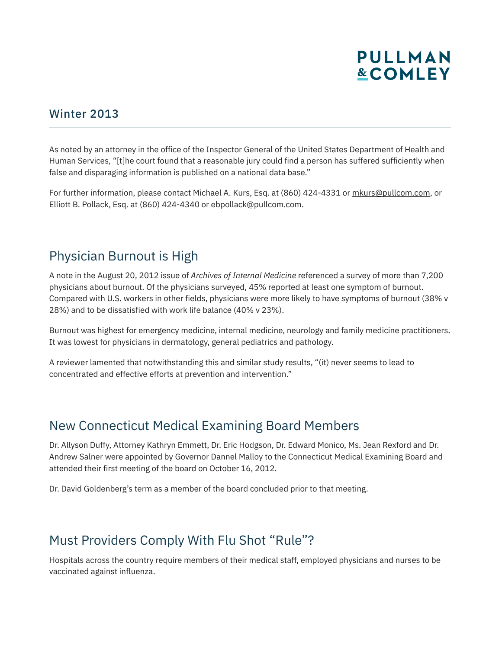# **PULLMAN &COMLEY**

#### Winter 2013

As noted by an attorney in the office of the Inspector General of the United States Department of Health and Human Services, "[t]he court found that a reasonable jury could find a person has suffered sufficiently when false and disparaging information is published on a national data base."

For further information, please contact Michael A. Kurs, Esq. at (860) 424-4331 or mkurs@pullcom.com, or Elliott B. Pollack, Esq. at (860) 424-4340 or ebpollack@pullcom.com.

### Physician Burnout is High

A note in the August 20, 2012 issue of *Archives of Internal Medicine* referenced a survey of more than 7,200 physicians about burnout. Of the physicians surveyed, 45% reported at least one symptom of burnout. Compared with U.S. workers in other fields, physicians were more likely to have symptoms of burnout (38% v 28%) and to be dissatisfied with work life balance (40% v 23%).

Burnout was highest for emergency medicine, internal medicine, neurology and family medicine practitioners. It was lowest for physicians in dermatology, general pediatrics and pathology.

A reviewer lamented that notwithstanding this and similar study results, "(it) never seems to lead to concentrated and effective efforts at prevention and intervention."

#### New Connecticut Medical Examining Board Members

Dr. Allyson Duffy, Attorney Kathryn Emmett, Dr. Eric Hodgson, Dr. Edward Monico, Ms. Jean Rexford and Dr. Andrew Salner were appointed by Governor Dannel Malloy to the Connecticut Medical Examining Board and attended their first meeting of the board on October 16, 2012.

Dr. David Goldenberg's term as a member of the board concluded prior to that meeting.

#### Must Providers Comply With Flu Shot "Rule"?

Hospitals across the country require members of their medical staff, employed physicians and nurses to be vaccinated against influenza.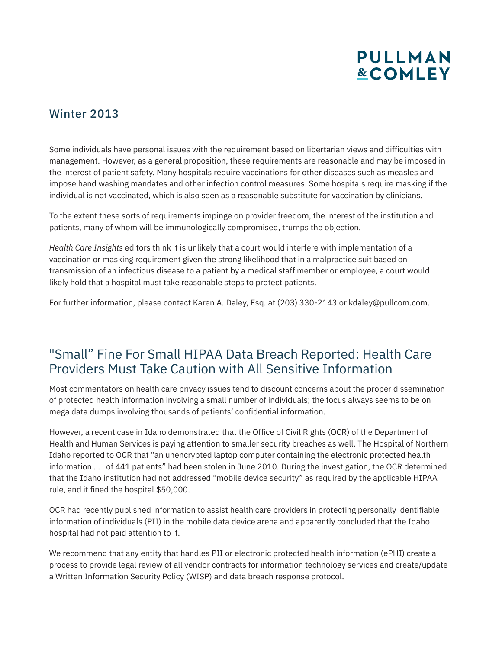# **PULLMAN &COMLEY**

#### Winter 2013

Some individuals have personal issues with the requirement based on libertarian views and difficulties with management. However, as a general proposition, these requirements are reasonable and may be imposed in the interest of patient safety. Many hospitals require vaccinations for other diseases such as measles and impose hand washing mandates and other infection control measures. Some hospitals require masking if the individual is not vaccinated, which is also seen as a reasonable substitute for vaccination by clinicians.

To the extent these sorts of requirements impinge on provider freedom, the interest of the institution and patients, many of whom will be immunologically compromised, trumps the objection.

*Health Care Insights* editors think it is unlikely that a court would interfere with implementation of a vaccination or masking requirement given the strong likelihood that in a malpractice suit based on transmission of an infectious disease to a patient by a medical staff member or employee, a court would likely hold that a hospital must take reasonable steps to protect patients.

For further information, please contact Karen A. Daley, Esq. at (203) 330-2143 or kdaley@pullcom.com.

#### "Small" Fine For Small HIPAA Data Breach Reported: Health Care Providers Must Take Caution with All Sensitive Information

Most commentators on health care privacy issues tend to discount concerns about the proper dissemination of protected health information involving a small number of individuals; the focus always seems to be on mega data dumps involving thousands of patients' confidential information.

However, a recent case in Idaho demonstrated that the Office of Civil Rights (OCR) of the Department of Health and Human Services is paying attention to smaller security breaches as well. The Hospital of Northern Idaho reported to OCR that "an unencrypted laptop computer containing the electronic protected health information . . . of 441 patients" had been stolen in June 2010. During the investigation, the OCR determined that the Idaho institution had not addressed "mobile device security" as required by the applicable HIPAA rule, and it fined the hospital \$50,000.

OCR had recently published information to assist health care providers in protecting personally identifiable information of individuals (PII) in the mobile data device arena and apparently concluded that the Idaho hospital had not paid attention to it.

We recommend that any entity that handles PII or electronic protected health information (ePHI) create a process to provide legal review of all vendor contracts for information technology services and create/update a Written Information Security Policy (WISP) and data breach response protocol.